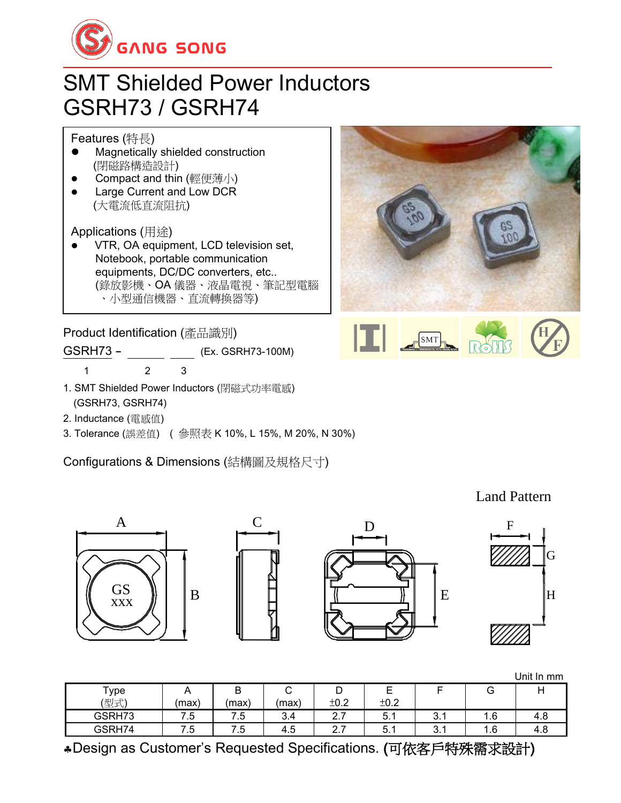

## SMT Shielded Power Inductors GSRH73 / GSRH74

Features (特長)

- ⚫ Magnetically shielded construction (閉磁路構造設計)
- Compact and thin (輕便薄小)
- ⚫ Large Current and Low DCR (大電流低直流阻抗)

Applications (用途)

⚫ VTR, OA equipment, LCD television set, Notebook, portable communication equipments, DC/DC converters, etc.. (錄放影機、OA 儀器、液晶電視、筆記型電腦 、小型通信機器、直流轉換器等)

Product Identification (產品識別)

GSRH73 - (Ex. GSRH73-100M)

- 1 2 3
- 1. SMT Shielded Power Inductors (閉磁式功率電感) (GSRH73, GSRH74)
- 2. Inductance (電感值)
- 3. Tolerance (誤差值) ( 參照表 K 10%, L 15%, M 20%, N 30%)

Configurations & Dimensions (結構圖及規格尺寸)





A C B D E F H G xxx GS

Unit In mm

Land Pattern

| Type   | <u>_</u>       | -<br>ັ | -<br>∽   | -                  | -                                    |                 | ت   |     |
|--------|----------------|--------|----------|--------------------|--------------------------------------|-----------------|-----|-----|
| (型式)   | (max)          | (max)  | (max)    | ±0.2               | ±0.2                                 |                 |     |     |
| GSRH73 | 7 に<br>–<br>   | 7.5    | o<br>3.4 | –<br>⌒<br><u>.</u> | $\overline{\phantom{0}}$<br>5<br>J.I | $\sim$<br>ູບ. ⊾ | 1.6 | 4.8 |
| GSRH74 | -<br>∽<br>ن. ا | '.5    | -<br>4.5 | ⌒<br>-<br><u>.</u> | -<br>∽<br>J.I                        | $\sim$<br>ູບ. ເ | 1.6 | 4.8 |

Design as Customer's Requested Specifications. (可依客戶特殊需求設計)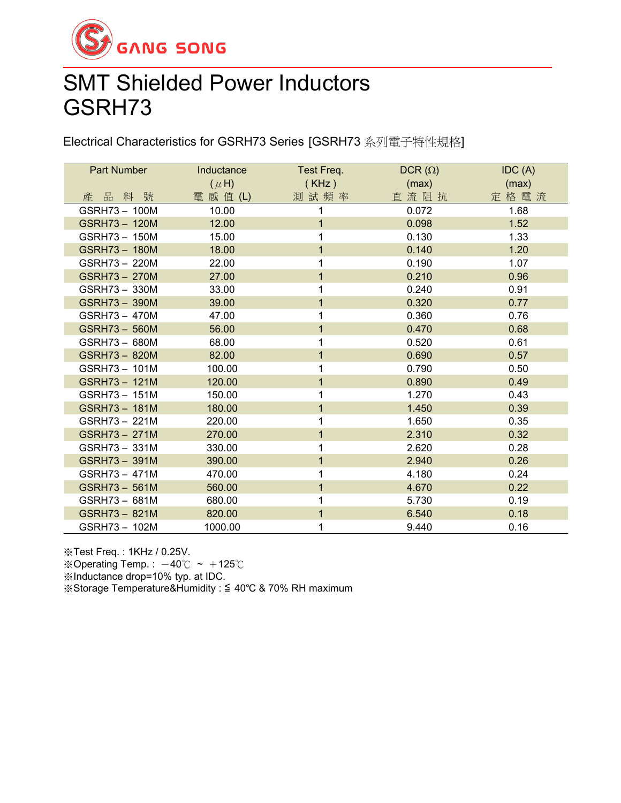

## SMT Shielded Power Inductors GSRH73

Electrical Characteristics for GSRH73 Series [GSRH73 系列電子特性規格]

| Part Number   | Inductance | Test Freq.     | $DCR(\Omega)$ | IDC(A) |
|---------------|------------|----------------|---------------|--------|
|               | $(\mu H)$  | (KHz)          | (max)         | (max)  |
| 產品料號          | 電 感 值 (L)  | 測試頻率           | 直流阻抗          | 定格電流   |
| GSRH73-100M   | 10.00      | 1              | 0.072         | 1.68   |
| GSRH73-120M   | 12.00      | $\overline{1}$ | 0.098         | 1.52   |
| GSRH73 - 150M | 15.00      | 1              | 0.130         | 1.33   |
| GSRH73 - 180M | 18.00      | 1              | 0.140         | 1.20   |
| GSRH73 - 220M | 22.00      | 1              | 0.190         | 1.07   |
| GSRH73 - 270M | 27.00      | $\mathbf 1$    | 0.210         | 0.96   |
| GSRH73 - 330M | 33.00      | 1              | 0.240         | 0.91   |
| GSRH73 - 390M | 39.00      | 1              | 0.320         | 0.77   |
| GSRH73 - 470M | 47.00      | 1              | 0.360         | 0.76   |
| GSRH73 - 560M | 56.00      | $\mathbf{1}$   | 0.470         | 0.68   |
| GSRH73 - 680M | 68.00      | 1              | 0.520         | 0.61   |
| GSRH73 - 820M | 82.00      | 1              | 0.690         | 0.57   |
| GSRH73 - 101M | 100.00     | 1              | 0.790         | 0.50   |
| GSRH73 - 121M | 120.00     | $\mathbf 1$    | 0.890         | 0.49   |
| GSRH73 - 151M | 150.00     | 1              | 1.270         | 0.43   |
| GSRH73 - 181M | 180.00     | $\overline{1}$ | 1.450         | 0.39   |
| GSRH73 - 221M | 220.00     | 1              | 1.650         | 0.35   |
| GSRH73 - 271M | 270.00     | 1              | 2.310         | 0.32   |
| GSRH73 - 331M | 330.00     | 1              | 2.620         | 0.28   |
| GSRH73-391M   | 390.00     | $\mathbf 1$    | 2.940         | 0.26   |
| GSRH73 - 471M | 470.00     | 1              | 4.180         | 0.24   |
| GSRH73 - 561M | 560.00     | 1              | 4.670         | 0.22   |
| GSRH73 - 681M | 680.00     | 1              | 5.730         | 0.19   |
| GSRH73 - 821M | 820.00     | $\mathbf{1}$   | 6.540         | 0.18   |
| GSRH73-102M   | 1000.00    | 1              | 9.440         | 0.16   |

※Test Freq. : 1KHz / 0.25V.

※Operating Temp.:  $-40^{\circ}$ C ~  $+125^{\circ}$ C

※Inductance drop=10% typ. at IDC.

※Storage Temperature&Humidity : ≦ 40℃ & 70% RH maximum